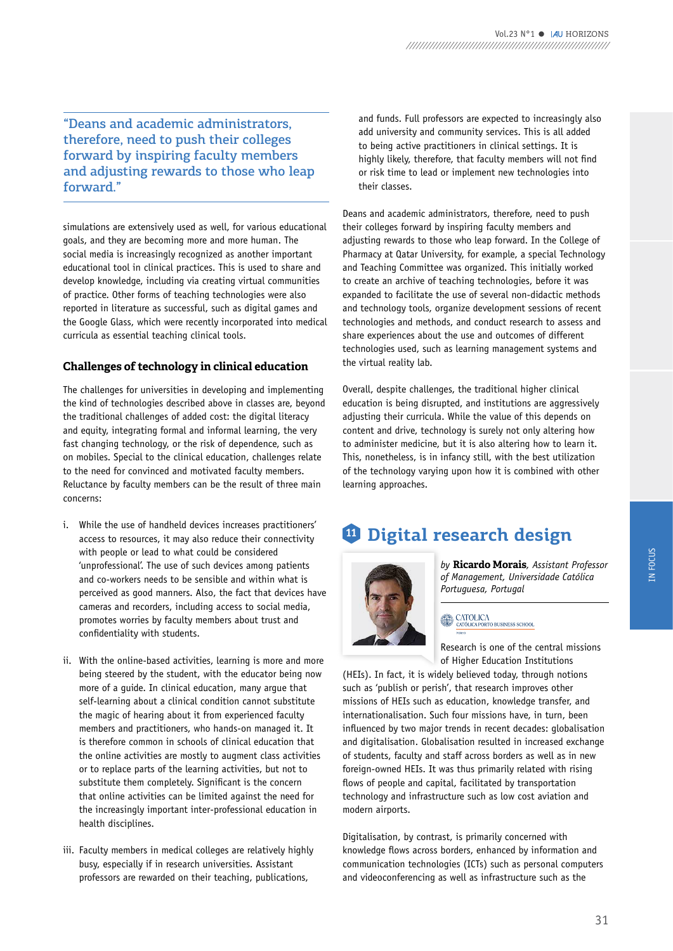"Deans and academic administrators, therefore, need to push their colleges forward by inspiring faculty members and adjusting rewards to those who leap forward."

simulations are extensively used as well, for various educational goals, and they are becoming more and more human. The social media is increasingly recognized as another important educational tool in clinical practices. This is used to share and develop knowledge, including via creating virtual communities of practice. Other forms of teaching technologies were also reported in literature as successful, such as digital games and the Google Glass, which were recently incorporated into medical curricula as essential teaching clinical tools.

## **Challenges of technology in clinical education**

The challenges for universities in developing and implementing the kind of technologies described above in classes are, beyond the traditional challenges of added cost: the digital literacy and equity, integrating formal and informal learning, the very fast changing technology, or the risk of dependence, such as on mobiles. Special to the clinical education, challenges relate to the need for convinced and motivated faculty members. Reluctance by faculty members can be the result of three main concerns:

- i. While the use of handheld devices increases practitioners' access to resources, it may also reduce their connectivity with people or lead to what could be considered 'unprofessional'. The use of such devices among patients and co-workers needs to be sensible and within what is perceived as good manners. Also, the fact that devices have cameras and recorders, including access to social media, promotes worries by faculty members about trust and confidentiality with students.
- ii. With the online-based activities, learning is more and more being steered by the student, with the educator being now more of a guide. In clinical education, many argue that self-learning about a clinical condition cannot substitute the magic of hearing about it from experienced faculty members and practitioners, who hands-on managed it. It is therefore common in schools of clinical education that the online activities are mostly to augment class activities or to replace parts of the learning activities, but not to substitute them completely. Significant is the concern that online activities can be limited against the need for the increasingly important inter-professional education in health disciplines.
- iii. Faculty members in medical colleges are relatively highly busy, especially if in research universities. Assistant professors are rewarded on their teaching, publications,

and funds. Full professors are expected to increasingly also add university and community services. This is all added to being active practitioners in clinical settings. It is highly likely, therefore, that faculty members will not find or risk time to lead or implement new technologies into their classes.

Deans and academic administrators, therefore, need to push their colleges forward by inspiring faculty members and adjusting rewards to those who leap forward. In the College of Pharmacy at Qatar University, for example, a special Technology and Teaching Committee was organized. This initially worked to create an archive of teaching technologies, before it was expanded to facilitate the use of several non-didactic methods and technology tools, organize development sessions of recent technologies and methods, and conduct research to assess and share experiences about the use and outcomes of different technologies used, such as learning management systems and the virtual reality lab.

Overall, despite challenges, the traditional higher clinical education is being disrupted, and institutions are aggressively adjusting their curricula. While the value of this depends on content and drive, technology is surely not only altering how to administer medicine, but it is also altering how to learn it. This, nonetheless, is in infancy still, with the best utilization of the technology varying upon how it is combined with other learning approaches.

## **<sup>11</sup> Digital research design**



*by* **Ricardo Morais***, Assistant Professor of Management, Universidade Católica Portuguesa, Portugal* 

## $\begin{tabular}{c} $\circ$~CATOLICA\\[-1.5mm] \bullet$~CATOLICA PORTO BUSINES SCHOOL\\ \end{tabular}$

Research is one of the central missions of Higher Education Institutions

(HEIs). In fact, it is widely believed today, through notions such as 'publish or perish', that research improves other missions of HEIs such as education, knowledge transfer, and internationalisation. Such four missions have, in turn, been influenced by two major trends in recent decades: globalisation and digitalisation. Globalisation resulted in increased exchange of students, faculty and staff across borders as well as in new foreign-owned HEIs. It was thus primarily related with rising flows of people and capital, facilitated by transportation technology and infrastructure such as low cost aviation and modern airports.

Digitalisation, by contrast, is primarily concerned with knowledge flows across borders, enhanced by information and communication technologies (ICTs) such as personal computers and videoconferencing as well as infrastructure such as the